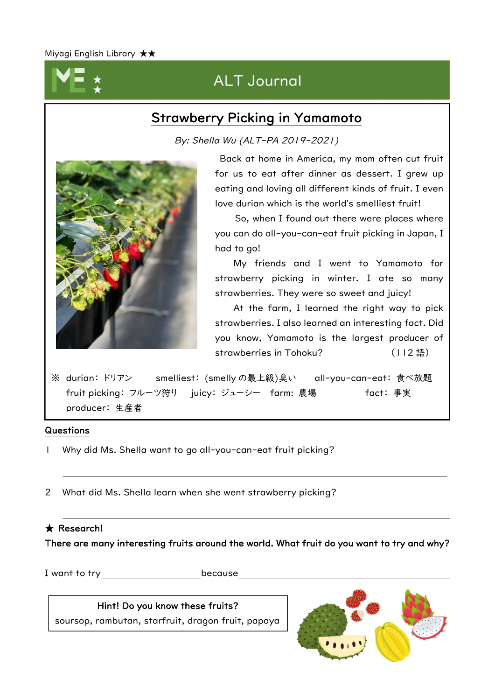

# ALT Journal

## Strawberry Picking in Yamamoto

By: Shella Wu (ALT-PA 2019-2021)



Back at home in America, my mom often cut fruit for us to eat after dinner as dessert. I grew up eating and loving all different kinds of fruit. I even love durian which is the world's smelliest fruit!

So, when I found out there were places where you can do all-you-can-eat fruit picking in Japan, I had to go!

My friends and I went to Yamamoto for strawberry picking in winter. I ate so many strawberries. They were so sweet and juicy!

At the farm, I learned the right way to pick strawberries. I also learned an interesting fact. Did you know, Yamamoto is the largest producer of strawberries in Tohoku? (112語)

※ durian: ドリアン smelliest: (smelly の最上級)臭い all-you-can-eat: 食べ放題 fruit picking: フルーツ狩り juicy: ジューシー farm: 農場 fact: 事実 producer: 生産者

### Questions

- 1 Why did Ms. Shella want to go all-you-can-eat fruit picking?
- 2 What did Ms. Shella learn when she went strawberry picking?

## ★ Research!

There are many interesting fruits around the world. What fruit do you want to try and why?

I want to try because

Hint! Do you know these fruits? soursop, rambutan, starfruit, dragon fruit, papaya